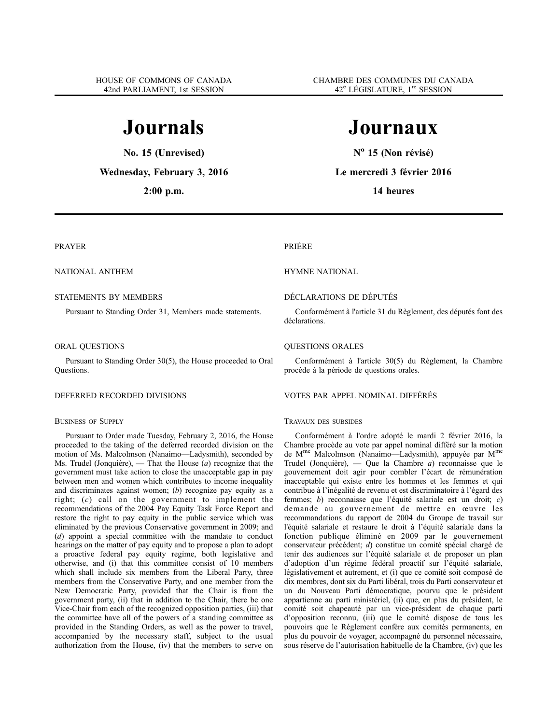# **Journals**

**No. 15 (Unrevised)**

**Wednesday, February 3, 2016**

**2:00 p.m.**

# **Journaux**

**N<sup>o</sup> 15 (Non révisé)**

**Le mercredi 3 février 2016**

**14 heures**

# PRAYER

NATIONAL ANTHEM

# STATEMENTS BY MEMBERS

Pursuant to Standing Order 31, Members made statements.

# ORAL QUESTIONS

Pursuant to Standing Order 30(5), the House proceeded to Oral Questions.

# DEFERRED RECORDED DIVISIONS

# BUSINESS OF SUPPLY

Pursuant to Order made Tuesday, February 2, 2016, the House proceeded to the taking of the deferred recorded division on the motion of Ms. Malcolmson (Nanaimo—Ladysmith), seconded by Ms. Trudel (Jonquière), — That the House (*a*) recognize that the government must take action to close the unacceptable gap in pay between men and women which contributes to income inequality and discriminates against women; (*b*) recognize pay equity as a right; (*c*) call on the government to implement the recommendations of the 2004 Pay Equity Task Force Report and restore the right to pay equity in the public service which was eliminated by the previous Conservative government in 2009; and (*d*) appoint a special committee with the mandate to conduct hearings on the matter of pay equity and to propose a plan to adopt a proactive federal pay equity regime, both legislative and otherwise, and (i) that this committee consist of 10 members which shall include six members from the Liberal Party, three members from the Conservative Party, and one member from the New Democratic Party, provided that the Chair is from the government party, (ii) that in addition to the Chair, there be one Vice-Chair from each of the recognized opposition parties, (iii) that the committee have all of the powers of a standing committee as provided in the Standing Orders, as well as the power to travel, accompanied by the necessary staff, subject to the usual authorization from the House, (iv) that the members to serve on

### PRIÈRE

# HYMNE NATIONAL

# DÉCLARATIONS DE DÉPUTÉS

Conformément à l'article 31 du Règlement, des députés font des déclarations.

# QUESTIONS ORALES

Conformément à l'article 30(5) du Règlement, la Chambre procède à la période de questions orales.

### VOTES PAR APPEL NOMINAL DIFFÉRÉS

# TRAVAUX DES SUBSIDES

Conformément à l'ordre adopté le mardi 2 février 2016, la Chambre procède au vote par appel nominal différé sur la motion de Mme Malcolmson (Nanaimo—Ladysmith), appuyée par Mme Trudel (Jonquière), — Que la Chambre *a*) reconnaisse que le gouvernement doit agir pour combler l'écart de rémunération inacceptable qui existe entre les hommes et les femmes et qui contribue à l'inégalité de revenu et est discriminatoire à l'égard des femmes; *b*) reconnaisse que l'équité salariale est un droit; *c*) demande au gouvernement de mettre en œuvre les recommandations du rapport de 2004 du Groupe de travail sur l'équité salariale et restaure le droit à l'équité salariale dans la fonction publique éliminé en 2009 par le gouvernement conservateur précédent; *d*) constitue un comité spécial chargé de tenir des audiences sur l'équité salariale et de proposer un plan d'adoption d'un régime fédéral proactif sur l'équité salariale, législativement et autrement, et (i) que ce comité soit composé de dix membres, dont six du Parti libéral, trois du Parti conservateur et un du Nouveau Parti démocratique, pourvu que le président appartienne au parti ministériel, (ii) que, en plus du président, le comité soit chapeauté par un vice-président de chaque parti d'opposition reconnu, (iii) que le comité dispose de tous les pouvoirs que le Règlement confère aux comités permanents, en plus du pouvoir de voyager, accompagné du personnel nécessaire, sous réserve de l'autorisation habituelle de la Chambre, (iv) que les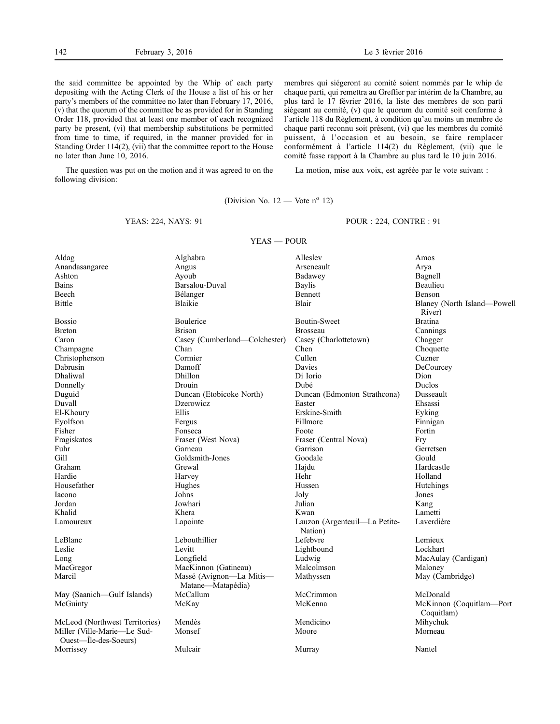the said committee be appointed by the Whip of each party depositing with the Acting Clerk of the House a list of his or her party's members of the committee no later than February 17, 2016, (v) that the quorum of the committee be as provided for in Standing Order 118, provided that at least one member of each recognized party be present, (vi) that membership substitutions be permitted from time to time, if required, in the manner provided for in Standing Order 114(2), (vii) that the committee report to the House no later than June 10, 2016.

The question was put on the motion and it was agreed to on the following division:

membres qui siégeront au comité soient nommés par le whip de chaque parti, qui remettra au Greffier par intérim de la Chambre, au plus tard le 17 février 2016, la liste des membres de son parti siégeant au comité, (v) que le quorum du comité soit conforme à l'article 118 du Règlement, à condition qu'au moins un membre de chaque parti reconnu soit présent, (vi) que les membres du comité puissent, à l'occasion et au besoin, se faire remplacer conformément à l'article 114(2) du Règlement, (vii) que le comité fasse rapport à la Chambre au plus tard le 10 juin 2016.

La motion, mise aux voix, est agréée par le vote suivant :

(Division No.  $12$  — Vote n<sup>o</sup> 12)

YEAS — POUR

#### YEAS: 224, NAYS: 91

POUR : 224, CONTRE : 91

| Aldag                          | Alghabra                      | Alleslev                                 | Amos                        |
|--------------------------------|-------------------------------|------------------------------------------|-----------------------------|
| Anandasangaree                 | Angus                         | Arseneault                               | Arya                        |
| Ashton                         | Ayoub                         | Badawey                                  | Bagnell                     |
| <b>Bains</b>                   | Barsalou-Duval                | <b>Baylis</b>                            | Beaulieu                    |
| Beech                          | Bélanger                      | Bennett                                  | Benson                      |
| Bittle                         | <b>Blaikie</b>                | <b>Blair</b>                             | Blaney (North Island-Powell |
|                                |                               |                                          | River)                      |
| <b>Bossio</b>                  | Boulerice                     | <b>Boutin-Sweet</b>                      | <b>Bratina</b>              |
| <b>Breton</b>                  | <b>Brison</b>                 | <b>Brosseau</b>                          | Cannings                    |
| Caron                          | Casey (Cumberland-Colchester) | Casey (Charlottetown)                    | Chagger                     |
| Champagne                      | Chan                          | Chen                                     | Choquette                   |
| Christopherson                 | Cormier                       | Cullen                                   | Cuzner                      |
| Dabrusin                       | Damoff                        | Davies                                   | DeCourcey                   |
| Dhaliwal                       | Dhillon                       | Di Iorio                                 | Dion                        |
| Donnelly                       | Drouin                        | Dubé                                     | Duclos                      |
| Duguid                         | Duncan (Etobicoke North)      | Duncan (Edmonton Strathcona)             | Dusseault                   |
| Duvall                         | <b>Dzerowicz</b>              | Easter                                   | Ehsassi                     |
| El-Khoury                      | Ellis                         | Erskine-Smith                            | Eyking                      |
| Eyolfson                       | Fergus                        | Fillmore                                 | Finnigan                    |
| Fisher                         | Fonseca                       | Foote                                    | Fortin                      |
| Fragiskatos                    | Fraser (West Nova)            | Fraser (Central Nova)                    | Fry                         |
| Fuhr                           | Garneau                       | Garrison                                 | Gerretsen                   |
| Gill                           | Goldsmith-Jones               | Goodale                                  | Gould                       |
| Graham                         | Grewal                        | Hajdu                                    | Hardcastle                  |
| Hardie                         | Harvey                        | Hehr                                     | Holland                     |
| Housefather                    | Hughes                        | Hussen                                   | Hutchings                   |
| Iacono                         | Johns                         | Joly                                     | Jones                       |
| Jordan                         | Jowhari                       | Julian                                   | Kang                        |
| Khalid                         | Khera                         | Kwan                                     | Lametti                     |
| Lamoureux                      | Lapointe                      | Lauzon (Argenteuil-La Petite-<br>Nation) | Laverdière                  |
| LeBlanc                        | Lebouthillier                 | Lefebvre                                 | Lemieux                     |
| Leslie                         | Levitt                        | Lightbound                               | Lockhart                    |
| Long                           | Longfield                     | Ludwig                                   | MacAulay (Cardigan)         |
| MacGregor                      | MacKinnon (Gatineau)          | Malcolmson                               | Maloney                     |
| Marcil                         | Massé (Avignon-La Mitis-      | Mathyssen                                | May (Cambridge)             |
|                                | Matane-Matapédia)             |                                          |                             |
| May (Saanich-Gulf Islands)     | McCallum                      | McCrimmon                                | McDonald                    |
| McGuinty                       | McKay                         | McKenna                                  | McKinnon (Coquitlam-Port    |
|                                |                               |                                          | Coquitlam)                  |
| McLeod (Northwest Territories) | Mendès                        | Mendicino                                | Mihychuk                    |
| Miller (Ville-Marie-Le Sud-    | Monsef                        | Moore                                    | Morneau                     |
| Ouest-Île-des-Soeurs)          |                               |                                          |                             |
| Morrissey                      | Mulcair                       | Murray                                   | Nantel                      |
|                                |                               |                                          |                             |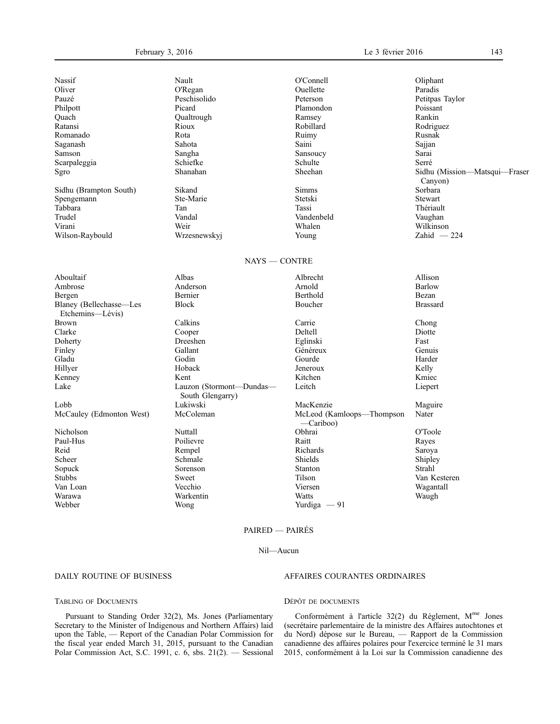| Nassif                                      | Nault                                        | O'Connell                              | Oliphant                                 |
|---------------------------------------------|----------------------------------------------|----------------------------------------|------------------------------------------|
| Oliver                                      | O'Regan                                      | Ouellette                              | Paradis                                  |
| Pauzé                                       | Peschisolido                                 | Peterson                               | Petitpas Taylor                          |
| Philpott                                    | Picard                                       | Plamondon                              | Poissant                                 |
| Quach                                       | Qualtrough                                   | Ramsey                                 | Rankin                                   |
| Ratansi                                     | Rioux                                        | Robillard                              | Rodriguez                                |
| Romanado                                    | Rota                                         | Ruimy                                  | Rusnak                                   |
| Saganash                                    | Sahota                                       | Saini                                  | Sajjan                                   |
| Samson                                      | Sangha                                       | Sansoucy                               | Sarai                                    |
| Scarpaleggia                                | Schiefke                                     | Schulte                                | Serré                                    |
| Sgro                                        | Shanahan                                     | Sheehan                                | Sidhu (Mission-Matsqui-Fraser<br>Canyon) |
| Sidhu (Brampton South)                      | Sikand                                       | Simms                                  | Sorbara                                  |
| Spengemann                                  | Ste-Marie                                    | Stetski                                | Stewart                                  |
| Tabbara                                     | Tan                                          | Tassi                                  | Thériault                                |
| Trudel                                      | Vandal                                       | Vandenbeld                             | Vaughan                                  |
| Virani                                      | Weir                                         | Whalen                                 | Wilkinson                                |
| Wilson-Raybould                             | Wrzesnewskyj                                 | Young                                  | Zahid $-224$                             |
|                                             | $NAYS - CONTRE$                              |                                        |                                          |
| Aboultaif                                   | Albas                                        | Albrecht                               | Allison                                  |
| Ambrose                                     | Anderson                                     | Arnold                                 | Barlow                                   |
| Bergen                                      | Bernier                                      | Berthold                               | Bezan                                    |
| Blaney (Bellechasse-Les<br>Etchemins—Lévis) | <b>Block</b>                                 | Boucher                                | <b>Brassard</b>                          |
| Brown                                       | Calkins                                      | Carrie                                 | Chong                                    |
| Clarke                                      | Cooper                                       | Deltell                                | Diotte                                   |
| Doherty                                     | Dreeshen                                     | Eglinski                               | Fast                                     |
| Finley                                      | Gallant                                      | Généreux                               | Genuis                                   |
| Gladu                                       | Godin                                        | Gourde                                 | Harder                                   |
| Hillyer                                     | Hoback                                       | Jeneroux                               | Kelly                                    |
| Kenney                                      | Kent                                         | Kitchen                                | Kmiec                                    |
| Lake                                        | Lauzon (Stormont-Dundas-<br>South Glengarry) | Leitch                                 | Liepert                                  |
| Lobb                                        | Lukiwski                                     | MacKenzie                              | Maguire                                  |
| McCauley (Edmonton West)                    | McColeman                                    | McLeod (Kamloops-Thompson<br>-Cariboo) | Nater                                    |
| Nicholson                                   | Nuttall                                      | Obhrai                                 | O'Toole                                  |
| Paul-Hus                                    | Poilievre                                    | Raitt                                  | Rayes                                    |
| Reid                                        | Rempel                                       | Richards                               | Saroya                                   |
| Scheer                                      | Schmale                                      | <b>Shields</b>                         | Shipley                                  |
| Sopuck                                      | Sorenson                                     | Stanton                                | Strahl                                   |
| Stubbs                                      | Sweet                                        | Tilson                                 | Van Kesteren                             |
| Van Loan                                    | Vecchio                                      | Viersen                                | Wagantall                                |
| Warawa                                      | Warkentin                                    | Watts                                  | Waugh                                    |
| Webber                                      | Wong                                         | Yurdiga $-91$                          |                                          |
|                                             |                                              |                                        |                                          |

# PAIRED — PAIRÉS

#### Nil—Aucun

# DAILY ROUTINE OF BUSINESS

#### TABLING OF DOCUMENTS

Pursuant to Standing Order 32(2), Ms. Jones (Parliamentary Secretary to the Minister of Indigenous and Northern Affairs) laid upon the Table, — Report of the Canadian Polar Commission for the fiscal year ended March 31, 2015, pursuant to the Canadian Polar Commission Act, S.C. 1991, c. 6, sbs. 21(2). — Sessional

# AFFAIRES COURANTES ORDINAIRES

# DÉPÔT DE DOCUMENTS

Conformément à l'article 32(2) du Règlement, Mme Jones (secrétaire parlementaire de la ministre des Affaires autochtones et du Nord) dépose sur le Bureau, — Rapport de la Commission canadienne des affaires polaires pour l'exercice terminé le 31 mars 2015, conformément à la Loi sur la Commission canadienne des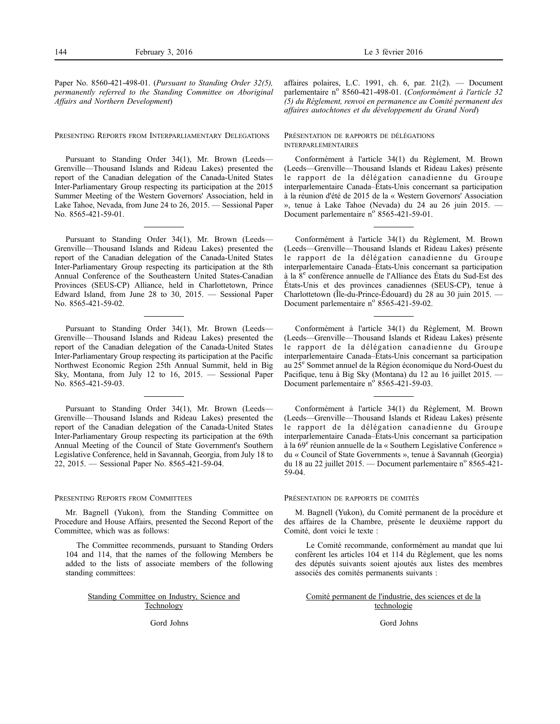Paper No. 8560-421-498-01. (*Pursuant to Standing Order 32(5), permanently referred to the Standing Committee on Aboriginal Affairs and Northern Development*)

PRESENTING REPORTS FROM INTERPARLIAMENTARY DELEGATIONS

Pursuant to Standing Order 34(1), Mr. Brown (Leeds— Grenville—Thousand Islands and Rideau Lakes) presented the report of the Canadian delegation of the Canada-United States Inter-Parliamentary Group respecting its participation at the 2015 Summer Meeting of the Western Governors' Association, held in Lake Tahoe, Nevada, from June 24 to 26, 2015. — Sessional Paper No. 8565-421-59-01.

Pursuant to Standing Order 34(1), Mr. Brown (Leeds— Grenville—Thousand Islands and Rideau Lakes) presented the report of the Canadian delegation of the Canada-United States Inter-Parliamentary Group respecting its participation at the 8th Annual Conference of the Southeastern United States-Canadian Provinces (SEUS-CP) Alliance, held in Charlottetown, Prince Edward Island, from June 28 to 30, 2015. — Sessional Paper No. 8565-421-59-02.

Pursuant to Standing Order 34(1), Mr. Brown (Leeds— Grenville—Thousand Islands and Rideau Lakes) presented the report of the Canadian delegation of the Canada-United States Inter-Parliamentary Group respecting its participation at the Pacific Northwest Economic Region 25th Annual Summit, held in Big Sky, Montana, from July 12 to 16, 2015. — Sessional Paper No. 8565-421-59-03.

Pursuant to Standing Order 34(1), Mr. Brown (Leeds— Grenville—Thousand Islands and Rideau Lakes) presented the report of the Canadian delegation of the Canada-United States Inter-Parliamentary Group respecting its participation at the 69th Annual Meeting of the Council of State Government's Southern Legislative Conference, held in Savannah, Georgia, from July 18 to 22, 2015. — Sessional Paper No. 8565-421-59-04.

#### PRESENTING REPORTS FROM COMMITTEES

Mr. Bagnell (Yukon), from the Standing Committee on Procedure and House Affairs, presented the Second Report of the Committee, which was as follows:

The Committee recommends, pursuant to Standing Orders 104 and 114, that the names of the following Members be added to the lists of associate members of the following standing committees:

#### Standing Committee on Industry, Science and Technology

Gord Johns

affaires polaires, L.C. 1991, ch. 6, par.  $21(2)$ . - Document parlementaire nº 8560-421-498-01. (*Conformément à l'article 32 (5) du Règlement, renvoi en permanence au Comité permanent des affaires autochtones et du développement du Grand Nord*)

### PRÉSENTATION DE RAPPORTS DE DÉLÉGATIONS INTERPARLEMENTAIRES

Conformément à l'article 34(1) du Règlement, M. Brown (Leeds—Grenville—Thousand Islands et Rideau Lakes) présente le rapport de la délégation canadienne du Groupe interparlementaire Canada–États-Unis concernant sa participation à la réunion d'été de 2015 de la « Western Governors' Association », tenue à Lake Tahoe (Nevada) du 24 au 26 juin 2015. — Document parlementaire nº 8565-421-59-01.

Conformément à l'article 34(1) du Règlement, M. Brown (Leeds—Grenville—Thousand Islands et Rideau Lakes) présente le rapport de la délégation canadienne du Groupe interparlementaire Canada–États-Unis concernant sa participation à la 8<sup>e</sup> conférence annuelle de l'Alliance des États du Sud-Est des États-Unis et des provinces canadiennes (SEUS-CP), tenue à Charlottetown (Île-du-Prince-Édouard) du 28 au 30 juin 2015. — Document parlementaire n° 8565-421-59-02.

Conformément à l'article 34(1) du Règlement, M. Brown (Leeds—Grenville—Thousand Islands et Rideau Lakes) présente le rapport de la délégation canadienne du Groupe interparlementaire Canada–États-Unis concernant sa participation au 25<sup>e</sup> Sommet annuel de la Région économique du Nord-Ouest du Pacifique, tenu à Big Sky (Montana) du 12 au 16 juillet 2015. Document parlementaire n° 8565-421-59-03.

Conformément à l'article 34(1) du Règlement, M. Brown (Leeds—Grenville—Thousand Islands et Rideau Lakes) présente le rapport de la délégation canadienne du Groupe interparlementaire Canada–États-Unis concernant sa participation à la 69<sup>e</sup> réunion annuelle de la « Southern Legislative Conference » du « Council of State Governments », tenue à Savannah (Georgia) du 18 au 22 juillet 2015. — Document parlementaire nº 8565-421-59-04.

#### PRÉSENTATION DE RAPPORTS DE COMITÉS

M. Bagnell (Yukon), du Comité permanent de la procédure et des affaires de la Chambre, présente le deuxième rapport du Comité, dont voici le texte :

Le Comité recommande, conformément au mandat que lui confèrent les articles 104 et 114 du Règlement, que les noms des députés suivants soient ajoutés aux listes des membres associés des comités permanents suivants :

Comité permanent de l'industrie, des sciences et de la technologie

Gord Johns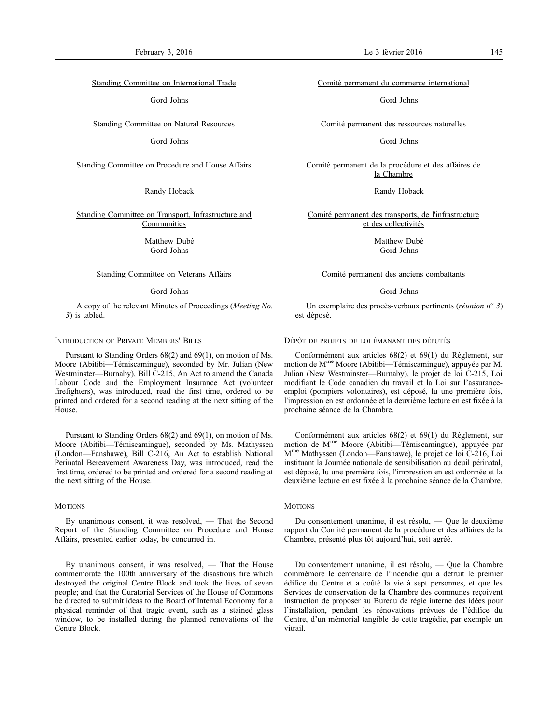Standing Committee on International Trade

Gord Johns

Standing Committee on Natural Resources

Gord Johns

Standing Committee on Procedure and House Affairs

# Randy Hoback

Standing Committee on Transport, Infrastructure and Communities

> Matthew Dubé Gord Johns

#### Standing Committee on Veterans Affairs

#### Gord Johns

A copy of the relevant Minutes of Proceedings (*Meeting No. 3*) is tabled.

# INTRODUCTION OF PRIVATE MEMBERS' BILLS

Pursuant to Standing Orders 68(2) and 69(1), on motion of Ms. Moore (Abitibi—Témiscamingue), seconded by Mr. Julian (New Westminster—Burnaby), Bill C-215, An Act to amend the Canada Labour Code and the Employment Insurance Act (volunteer firefighters), was introduced, read the first time, ordered to be printed and ordered for a second reading at the next sitting of the House.

Pursuant to Standing Orders 68(2) and 69(1), on motion of Ms. Moore (Abitibi—Témiscamingue), seconded by Ms. Mathyssen (London—Fanshawe), Bill C-216, An Act to establish National Perinatal Bereavement Awareness Day, was introduced, read the first time, ordered to be printed and ordered for a second reading at the next sitting of the House.

# **MOTIONS**

By unanimous consent, it was resolved, — That the Second Report of the Standing Committee on Procedure and House Affairs, presented earlier today, be concurred in.

Comité permanent du commerce international

Gord Johns

Comité permanent des ressources naturelles

Gord Johns

Comité permanent de la procédure et des affaires de la Chambre

Randy Hoback

Comité permanent des transports, de l'infrastructure et des collectivités

> Matthew Dubé Gord Johns

#### Comité permanent des anciens combattants

#### Gord Johns

Un exemplaire des procès-verbaux pertinents (*réunion n<sup>o</sup> 3*) est déposé.

DÉPÔT DE PROJETS DE LOI ÉMANANT DES DÉPUTÉS

Conformément aux articles 68(2) et 69(1) du Règlement, sur motion de Mme Moore (Abitibi—Témiscamingue), appuyée par M. Julian (New Westminster—Burnaby), le projet de loi C-215, Loi modifiant le Code canadien du travail et la Loi sur l'assuranceemploi (pompiers volontaires), est déposé, lu une première fois, l'impression en est ordonnée et la deuxième lecture en est fixée à la prochaine séance de la Chambre.

Conformément aux articles 68(2) et 69(1) du Règlement, sur motion de Mme Moore (Abitibi—Témiscamingue), appuyée par Mme Mathyssen (London—Fanshawe), le projet de loi C-216, Loi instituant la Journée nationale de sensibilisation au deuil périnatal, est déposé, lu une première fois, l'impression en est ordonnée et la deuxième lecture en est fixée à la prochaine séance de la Chambre.

# **MOTIONS**

Du consentement unanime, il est résolu, — Que le deuxième rapport du Comité permanent de la procédure et des affaires de la Chambre, présenté plus tôt aujourd'hui, soit agréé.

Du consentement unanime, il est résolu, — Que la Chambre commémore le centenaire de l'incendie qui a détruit le premier édifice du Centre et a coûté la vie à sept personnes, et que les Services de conservation de la Chambre des communes reçoivent instruction de proposer au Bureau de régie interne des idées pour l'installation, pendant les rénovations prévues de l'édifice du Centre, d'un mémorial tangible de cette tragédie, par exemple un vitrail.

By unanimous consent, it was resolved, — That the House commemorate the 100th anniversary of the disastrous fire which destroyed the original Centre Block and took the lives of seven people; and that the Curatorial Services of the House of Commons be directed to submit ideas to the Board of Internal Economy for a physical reminder of that tragic event, such as a stained glass window, to be installed during the planned renovations of the Centre Block.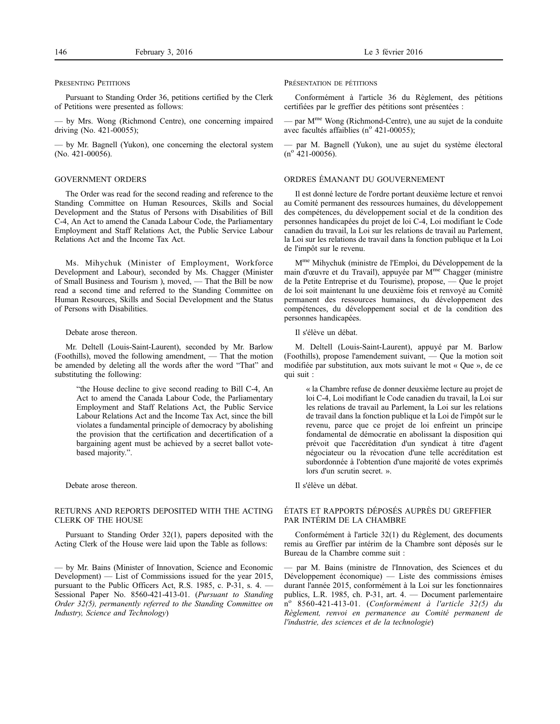#### PRESENTING PETITIONS

Pursuant to Standing Order 36, petitions certified by the Clerk of Petitions were presented as follows:

— by Mrs. Wong (Richmond Centre), one concerning impaired driving (No. 421-00055);

— by Mr. Bagnell (Yukon), one concerning the electoral system (No. 421-00056).

# GOVERNMENT ORDERS

The Order was read for the second reading and reference to the Standing Committee on Human Resources, Skills and Social Development and the Status of Persons with Disabilities of Bill C-4, An Act to amend the Canada Labour Code, the Parliamentary Employment and Staff Relations Act, the Public Service Labour Relations Act and the Income Tax Act.

Ms. Mihychuk (Minister of Employment, Workforce Development and Labour), seconded by Ms. Chagger (Minister of Small Business and Tourism ), moved, — That the Bill be now read a second time and referred to the Standing Committee on Human Resources, Skills and Social Development and the Status of Persons with Disabilities.

#### Debate arose thereon.

Mr. Deltell (Louis-Saint-Laurent), seconded by Mr. Barlow (Foothills), moved the following amendment, — That the motion be amended by deleting all the words after the word "That" and substituting the following:

"the House decline to give second reading to Bill C-4, An Act to amend the Canada Labour Code, the Parliamentary Employment and Staff Relations Act, the Public Service Labour Relations Act and the Income Tax Act, since the bill violates a fundamental principle of democracy by abolishing the provision that the certification and decertification of a bargaining agent must be achieved by a secret ballot votebased majority.".

Debate arose thereon.

# RETURNS AND REPORTS DEPOSITED WITH THE ACTING CLERK OF THE HOUSE

Pursuant to Standing Order 32(1), papers deposited with the Acting Clerk of the House were laid upon the Table as follows:

— by Mr. Bains (Minister of Innovation, Science and Economic Development) — List of Commissions issued for the year 2015, pursuant to the Public Officers Act, R.S. 1985, c. P-31, s. 4. — Sessional Paper No. 8560-421-413-01. (*Pursuant to Standing Order 32(5), permanently referred to the Standing Committee on Industry, Science and Technology*)

#### PRÉSENTATION DE PÉTITIONS

Conformément à l'article 36 du Règlement, des pétitions certifiées par le greffier des pétitions sont présentées :

— par Mme Wong (Richmond-Centre), une au sujet de la conduite avec facultés affaiblies ( $n^{\circ}$  421-00055);

— par M. Bagnell (Yukon), une au sujet du système électoral  $(n^{o}$  421-00056).

# ORDRES ÉMANANT DU GOUVERNEMENT

Il est donné lecture de l'ordre portant deuxième lecture et renvoi au Comité permanent des ressources humaines, du développement des compétences, du développement social et de la condition des personnes handicapées du projet de loi C-4, Loi modifiant le Code canadien du travail, la Loi sur les relations de travail au Parlement, la Loi sur les relations de travail dans la fonction publique et la Loi de l'impôt sur le revenu.

Mme Mihychuk (ministre de l'Emploi, du Développement de la main d'œuvre et du Travail), appuyée par M<sup>me</sup> Chagger (ministre de la Petite Entreprise et du Tourisme), propose, — Que le projet de loi soit maintenant lu une deuxième fois et renvoyé au Comité permanent des ressources humaines, du développement des compétences, du développement social et de la condition des personnes handicapées.

Il s'élève un débat.

M. Deltell (Louis-Saint-Laurent), appuyé par M. Barlow (Foothills), propose l'amendement suivant, — Que la motion soit modifiée par substitution, aux mots suivant le mot « Que », de ce qui suit :

« la Chambre refuse de donner deuxième lecture au projet de loi C-4, Loi modifiant le Code canadien du travail, la Loi sur les relations de travail au Parlement, la Loi sur les relations de travail dans la fonction publique et la Loi de l'impôt sur le revenu, parce que ce projet de loi enfreint un principe fondamental de démocratie en abolissant la disposition qui prévoit que l'accréditation d'un syndicat à titre d'agent négociateur ou la révocation d'une telle accréditation est subordonnée à l'obtention d'une majorité de votes exprimés lors d'un scrutin secret. ».

Il s'élève un débat.

# ÉTATS ET RAPPORTS DÉPOSÉS AUPRÈS DU GREFFIER PAR INTÉRIM DE LA CHAMBRE

Conformément à l'article 32(1) du Règlement, des documents remis au Greffier par intérim de la Chambre sont déposés sur le Bureau de la Chambre comme suit :

— par M. Bains (ministre de l'Innovation, des Sciences et du Développement économique) — Liste des commissions émises durant l'année 2015, conformément à la Loi sur les fonctionnaires publics, L.R. 1985, ch. P-31, art. 4. — Document parlementaire n<sup>o</sup> 8560-421-413-01. (*Conformément à l'article 32(5) du Règlement, renvoi en permanence au Comité permanent de l'industrie, des sciences et de la technologie*)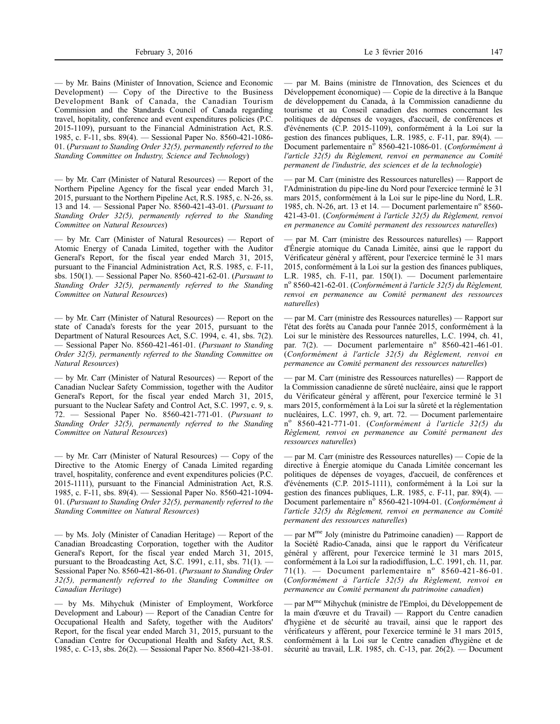— by Mr. Bains (Minister of Innovation, Science and Economic Development) — Copy of the Directive to the Business Development Bank of Canada, the Canadian Tourism Commission and the Standards Council of Canada regarding travel, hopitality, conference and event expenditures policies (P.C. 2015-1109), pursuant to the Financial Administration Act, R.S. 1985, c. F-11, sbs. 89(4). — Sessional Paper No. 8560-421-1086- 01. (*Pursuant to Standing Order 32(5), permanently referred to the Standing Committee on Industry, Science and Technology*)

— by Mr. Carr (Minister of Natural Resources) — Report of the Northern Pipeline Agency for the fiscal year ended March 31, 2015, pursuant to the Northern Pipeline Act, R.S. 1985, c. N-26, ss. 13 and 14. — Sessional Paper No. 8560-421-43-01. (*Pursuant to Standing Order 32(5), permanently referred to the Standing Committee on Natural Resources*)

— by Mr. Carr (Minister of Natural Resources) — Report of Atomic Energy of Canada Limited, together with the Auditor General's Report, for the fiscal year ended March 31, 2015, pursuant to the Financial Administration Act, R.S. 1985, c. F-11, sbs. 150(1). — Sessional Paper No. 8560-421-62-01. (*Pursuant to Standing Order 32(5), permanently referred to the Standing Committee on Natural Resources*)

— by Mr. Carr (Minister of Natural Resources) — Report on the state of Canada's forests for the year 2015, pursuant to the Department of Natural Resources Act, S.C. 1994, c. 41, sbs. 7(2). — Sessional Paper No. 8560-421-461-01. (*Pursuant to Standing Order 32(5), permanently referred to the Standing Committee on Natural Resources*)

— by Mr. Carr (Minister of Natural Resources) — Report of the Canadian Nuclear Safety Commission, together with the Auditor General's Report, for the fiscal year ended March 31, 2015, pursuant to the Nuclear Safety and Control Act, S.C. 1997, c. 9, s. 72. — Sessional Paper No. 8560-421-771-01. (*Pursuant to Standing Order 32(5), permanently referred to the Standing Committee on Natural Resources*)

— by Mr. Carr (Minister of Natural Resources) — Copy of the Directive to the Atomic Energy of Canada Limited regarding travel, hospitality, conference and event expenditures policies (P.C. 2015-1111), pursuant to the Financial Administration Act, R.S. 1985, c. F-11, sbs. 89(4). — Sessional Paper No. 8560-421-1094- 01. (*Pursuant to Standing Order 32(5), permanently referred to the Standing Committee on Natural Resources*)

— by Ms. Joly (Minister of Canadian Heritage) — Report of the Canadian Broadcasting Corporation, together with the Auditor General's Report, for the fiscal year ended March 31, 2015, pursuant to the Broadcasting Act, S.C. 1991, c.11, sbs. 71(1). — Sessional Paper No. 8560-421-86-01. (*Pursuant to Standing Order 32(5), permanently referred to the Standing Committee on Canadian Heritage*)

— by Ms. Mihychuk (Minister of Employment, Workforce Development and Labour) — Report of the Canadian Centre for Occupational Health and Safety, together with the Auditors' Report, for the fiscal year ended March 31, 2015, pursuant to the Canadian Centre for Occupational Health and Safety Act, R.S. 1985, c. C-13, sbs. 26(2). — Sessional Paper No. 8560-421-38-01.

— par M. Bains (ministre de l'Innovation, des Sciences et du Développement économique) — Copie de la directive à la Banque de développement du Canada, à la Commission canadienne du tourisme et au Conseil canadien des normes concernant les politiques de dépenses de voyages, d'accueil, de conférences et d'événements (C.P. 2015-1109), conformément à la Loi sur la gestion des finances publiques, L.R. 1985, c. F-11, par. 89(4). — Document parlementaire nº 8560-421-1086-01. (*Conformément à l'article 32(5) du Règlement, renvoi en permanence au Comité permanent de l'industrie, des sciences et de la technologie*)

— par M. Carr (ministre des Ressources naturelles) — Rapport de l'Administration du pipe-line du Nord pour l'exercice terminé le 31 mars 2015, conformément à la Loi sur le pipe-line du Nord, L.R. 1985, ch. N-26, art. 13 et 14. — Document parlementaire  $n^{\circ}$  8560-421-43-01. (*Conformément à l'article 32(5) du Règlement, renvoi en permanence au Comité permanent des ressources naturelles*)

— par M. Carr (ministre des Ressources naturelles) — Rapport d'Énergie atomique du Canada Limitée, ainsi que le rapport du Vérificateur général y afférent, pour l'exercice terminé le 31 mars 2015, conformément à la Loi sur la gestion des finances publiques, L.R. 1985, ch. F-11, par. 150(1). — Document parlementaire no 8560-421-62-01. (*Conformément à l'article 32(5) du Règlement, renvoi en permanence au Comité permanent des ressources naturelles*)

— par M. Carr (ministre des Ressources naturelles) — Rapport sur l'état des forêts au Canada pour l'année 2015, conformément à la Loi sur le ministère des Ressources naturelles, L.C. 1994, ch. 41, par.  $7(2)$ . — Document parlementaire n° 8560-421-461-01. (*Conformément à l'article 32(5) du Règlement, renvoi en permanence au Comité permanent des ressources naturelles*)

— par M. Carr (ministre des Ressources naturelles) — Rapport de la Commission canadienne de sûreté nucléaire, ainsi que le rapport du Vérificateur général y afférent, pour l'exercice terminé le 31 mars 2015, conformément à la Loi sur la sûreté et la réglementation nucléaires, L.C. 1997, ch. 9, art. 72. — Document parlementaire n<sup>o</sup> 8560-421-771-01. (*Conformément à l'article 32(5) du Règlement, renvoi en permanence au Comité permanent des ressources naturelles*)

— par M. Carr (ministre des Ressources naturelles) — Copie de la directive à Énergie atomique du Canada Limitée concernant les politiques de dépenses de voyages, d'accueil, de conférences et d'événements (C.P. 2015-1111), conformément à la Loi sur la gestion des finances publiques, L.R. 1985, c. F-11, par. 89(4). — Document parlementaire nº 8560-421-1094-01. (*Conformément à l'article 32(5) du Règlement, renvoi en permanence au Comité permanent des ressources naturelles*)

— par  $M<sup>me</sup>$  Joly (ministre du Patrimoine canadien) — Rapport de la Société Radio-Canada, ainsi que le rapport du Vérificateur général y afférent, pour l'exercice terminé le 31 mars 2015, conformément à la Loi sur la radiodiffusion, L.C. 1991, ch. 11, par. 71(1). — Document parlementaire  $n^{\circ}$  8560-421-86-01. (*Conformément à l'article 32(5) du Règlement, renvoi en permanence au Comité permanent du patrimoine canadien*)

— par Mme Mihychuk (ministre de l'Emploi, du Développement de la main d'œuvre et du Travail) — Rapport du Centre canadien d'hygiène et de sécurité au travail, ainsi que le rapport des vérificateurs y afférent, pour l'exercice terminé le 31 mars 2015, conformément à la Loi sur le Centre canadien d'hygiène et de sécurité au travail, L.R. 1985, ch. C-13, par. 26(2). — Document